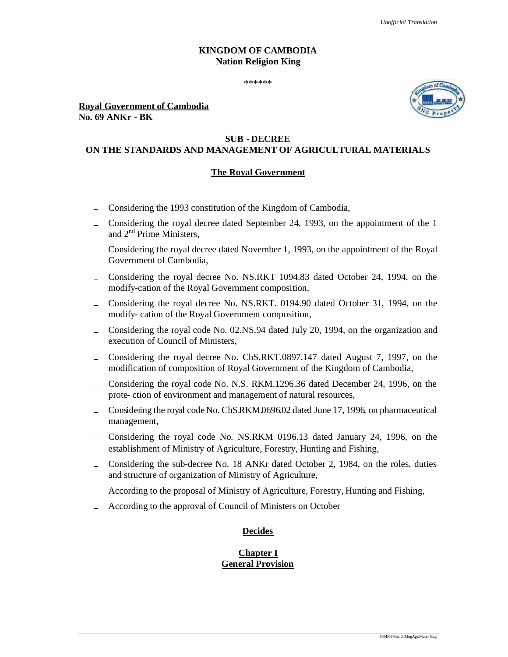## **KINGDOM OF CAMBODIA Nation Religion King**

\*\*\*\*\*\*

**Royal Government of Cambodia No. 69 ANKr - BK**

# **SUB - DECREE**

# **ON THE STANDARDS AND MANAGEMENT OF AGRICULTURAL MATERIALS**

### **The Royal Government**

- Considering the 1993 constitution of the Kingdom of Cambodia,
- Considering the royal decree dated September 24, 1993, on the appointment of the 1 and 2nd Prime Ministers,
- Considering the royal decree dated November 1, 1993, on the appointment of the Royal Government of Cambodia,
- Considering the royal decree No. NS.RKT 1094.83 dated October 24, 1994, on the modify-cation of the Royal Government composition,
- Considering the royal decree No. NS.RKT. 0194.90 dated October 31, 1994, on the  $\overline{a}$ modify- cation of the Royal Government composition,
- Considering the royal code No. 02.NS.94 dated July 20, 1994, on the organization and  $\equiv$ execution of Council of Ministers,
- Considering the royal decree No. ChS.RKT.0897.147 dated August 7, 1997, on the modification of composition of Royal Government of the Kingdom of Cambodia,
- Considering the royal code No. N.S. RKM.1296.36 dated December 24, 1996, on the prote- ction of environment and management of natural resources,
- Considering the royal code No. ChS.RKM.0696.02 dated June 17, 1996, on pharmaceutical management,
- Considering the royal code No. NS.RKM 0196.13 dated January 24, 1996, on the establishment of Ministry of Agriculture, Forestry, Hunting and Fishing,
- Considering the sub-decree No. 18 ANKr dated October 2, 1984, on the roles, duties  $\equiv$ and structure of organization of Ministry of Agriculture,
- According to the proposal of Ministry of Agriculture, Forestry, Hunting and Fishing,
- According to the approval of Council of Ministers on October

## **Decides**

### **Chapter I General Provision**

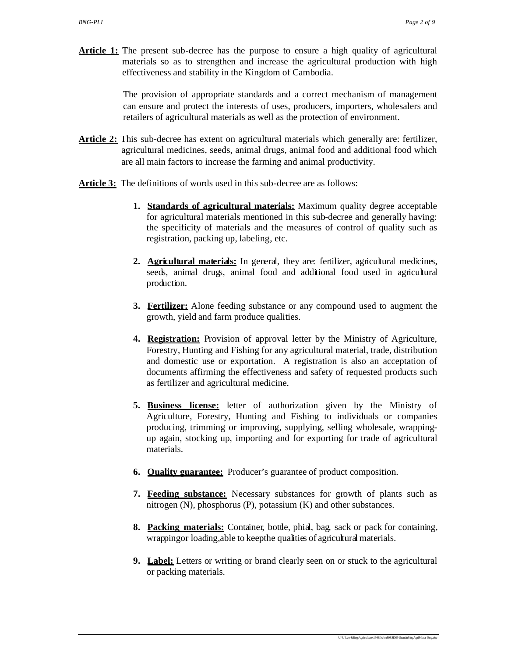**Article 1:** The present sub-decree has the purpose to ensure a high quality of agricultural materials so as to strengthen and increase the agricultural production with high effectiveness and stability in the Kingdom of Cambodia.

> The provision of appropriate standards and a correct mechanism of management can ensure and protect the interests of uses, producers, importers, wholesalers and retailers of agricultural materials as well as the protection of environment.

- **Article 2:** This sub-decree has extent on agricultural materials which generally are: fertilizer, agricultural medicines, seeds, animal drugs, animal food and additional food which are all main factors to increase the farming and animal productivity.
- Article 3: The definitions of words used in this sub-decree are as follows:
	- **1. Standards of agricultural materials:** Maximum quality degree acceptable for agricultural materials mentioned in this sub-decree and generally having: the specificity of materials and the measures of control of quality such as registration, packing up, labeling, etc.
	- **2. Agricultural materials:** In general, they are: fertilizer, agricultural medicines, seeds, animal drugs, animal food and additional food used in agricultural production.
	- **3. Fertilizer:** Alone feeding substance or any compound used to augment the growth, yield and farm produce qualities.
	- **4. Registration:** Provision of approval letter by the Ministry of Agriculture, Forestry, Hunting and Fishing for any agricultural material, trade, distribution and domestic use or exportation. A registration is also an acceptation of documents affirming the effectiveness and safety of requested products such as fertilizer and agricultural medicine.
	- **5. Business license:** letter of authorization given by the Ministry of Agriculture, Forestry, Hunting and Fishing to individuals or companies producing, trimming or improving, supplying, selling wholesale, wrappingup again, stocking up, importing and for exporting for trade of agricultural materials.
	- **6. Quality guarantee:** Producer's guarantee of product composition.
	- **7. Feeding substance:** Necessary substances for growth of plants such as nitrogen (N), phosphorus (P), potassium (K) and other substances.
	- **8. Packing materials:** Container, bottle, phial, bag, sack or pack for containing, wrappingor loading,able to keepthe qualities of agricultural materials.
	- **9. Label:** Letters or writing or brand clearly seen on or stuck to the agricultural or packing materials.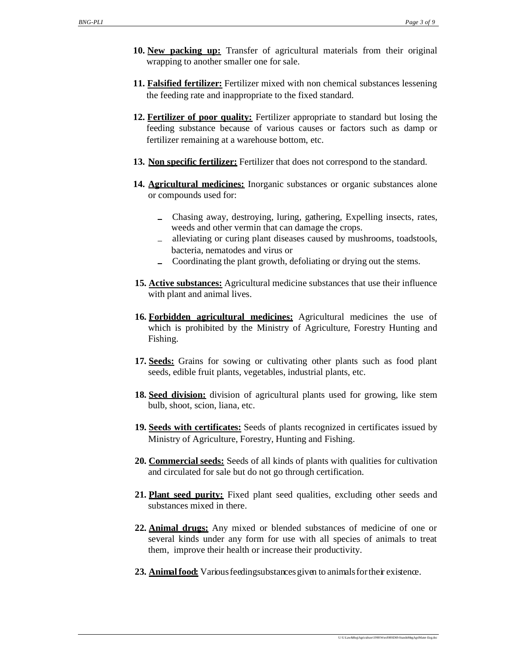- **10. New packing up:** Transfer of agricultural materials from their original wrapping to another smaller one for sale.
- **11. Falsified fertilizer:** Fertilizer mixed with non chemical substances lessening the feeding rate and inappropriate to the fixed standard.
- **12. Fertilizer of poor quality:** Fertilizer appropriate to standard but losing the feeding substance because of various causes or factors such as damp or fertilizer remaining at a warehouse bottom, etc.
- **13. Non specific fertilizer:** Fertilizer that does not correspond to the standard.
- **14. Agricultural medicines:** Inorganic substances or organic substances alone or compounds used for:
	- Chasing away, destroying, luring, gathering, Expelling insects, rates, weeds and other vermin that can damage the crops.
	- alleviating or curing plant diseases caused by mushrooms, toadstools, bacteria, nematodes and virus or
	- Coordinating the plant growth, defoliating or drying out the stems.
- **15. Active substances:** Agricultural medicine substances that use their influence with plant and animal lives.
- **16. Forbidden agricultural medicines:** Agricultural medicines the use of which is prohibited by the Ministry of Agriculture, Forestry Hunting and Fishing.
- **17. Seeds:** Grains for sowing or cultivating other plants such as food plant seeds, edible fruit plants, vegetables, industrial plants, etc.
- **18. Seed division:** division of agricultural plants used for growing, like stem bulb, shoot, scion, liana, etc.
- **19. Seeds with certificates:** Seeds of plants recognized in certificates issued by Ministry of Agriculture, Forestry, Hunting and Fishing.
- **20. Commercial seeds:** Seeds of all kinds of plants with qualities for cultivation and circulated for sale but do not go through certification.
- **21. Plant seed purity:** Fixed plant seed qualities, excluding other seeds and substances mixed in there.
- **22. Animal drugs:** Any mixed or blended substances of medicine of one or several kinds under any form for use with all species of animals to treat them, improve their health or increase their productivity.
- **23. Animal food:** Various feedingsubstances given to animals for their existence.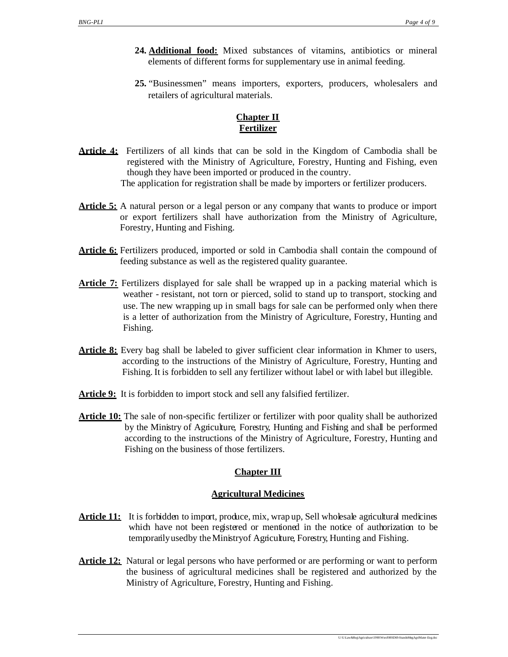- **24. Additional food:** Mixed substances of vitamins, antibiotics or mineral elements of different forms for supplementary use in animal feeding.
- **25.** "Businessmen" means importers, exporters, producers, wholesalers and retailers of agricultural materials.

# **Chapter II Fertilizer**

- Article 4: Fertilizers of all kinds that can be sold in the Kingdom of Cambodia shall be registered with the Ministry of Agriculture, Forestry, Hunting and Fishing, even though they have been imported or produced in the country. The application for registration shall be made by importers or fertilizer producers.
- **Article 5:** A natural person or a legal person or any company that wants to produce or import or export fertilizers shall have authorization from the Ministry of Agriculture, Forestry, Hunting and Fishing.
- **Article 6:** Fertilizers produced, imported or sold in Cambodia shall contain the compound of feeding substance as well as the registered quality guarantee.
- **Article 7:** Fertilizers displayed for sale shall be wrapped up in a packing material which is weather - resistant, not torn or pierced, solid to stand up to transport, stocking and use. The new wrapping up in small bags for sale can be performed only when there is a letter of authorization from the Ministry of Agriculture, Forestry, Hunting and Fishing.
- **Article 8:** Every bag shall be labeled to giver sufficient clear information in Khmer to users, according to the instructions of the Ministry of Agriculture, Forestry, Hunting and Fishing. It is forbidden to sell any fertilizer without label or with label but illegible.
- **Article 9:** It is forbidden to import stock and sell any falsified fertilizer.
- **Article 10:** The sale of non-specific fertilizer or fertilizer with poor quality shall be authorized by the Ministry of Agriculture, Forestry, Hunting and Fishing and shall be performed according to the instructions of the Ministry of Agriculture, Forestry, Hunting and Fishing on the business of those fertilizers.

# **Chapter III**

# **Agricultural Medicines**

- **Article 11:** It is forbidden to import, produce, mix, wrap up, Sell wholesale agricultural medicines which have not been registered or mentioned in the notice of authorization to be temporarilyusedby theMinistryof Agriculture, Forestry, Hunting and Fishing.
- **Article 12:** Natural or legal persons who have performed or are performing or want to perform the business of agricultural medicines shall be registered and authorized by the Ministry of Agriculture, Forestry, Hunting and Fishing.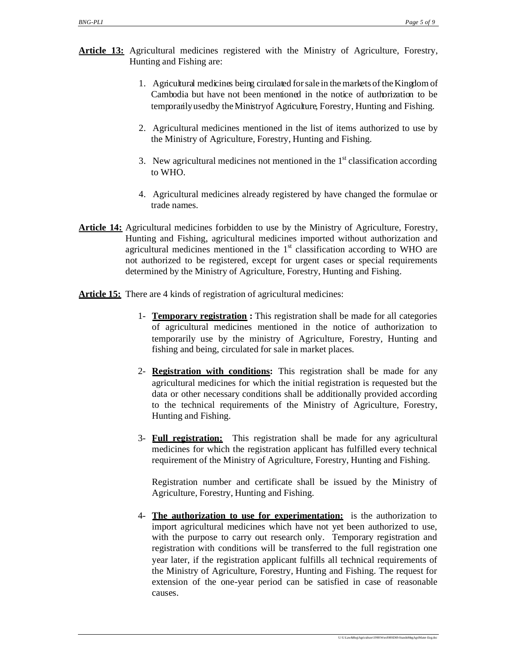- **Article 13:** Agricultural medicines registered with the Ministry of Agriculture, Forestry, Hunting and Fishing are:
	- 1. Agricultural medicines being circulated for salein the markets of the Kingdom of Cambodia but have not been mentioned in the notice of authorization to be temporarilyusedby theMinistryof Agriculture, Forestry, Hunting and Fishing.
	- 2. Agricultural medicines mentioned in the list of items authorized to use by the Ministry of Agriculture, Forestry, Hunting and Fishing.
	- 3. New agricultural medicines not mentioned in the  $1<sup>st</sup>$  classification according to WHO.
	- 4. Agricultural medicines already registered by have changed the formulae or trade names.
- **Article 14:** Agricultural medicines forbidden to use by the Ministry of Agriculture, Forestry, Hunting and Fishing, agricultural medicines imported without authorization and agricultural medicines mentioned in the  $1<sup>st</sup>$  classification according to WHO are not authorized to be registered, except for urgent cases or special requirements determined by the Ministry of Agriculture, Forestry, Hunting and Fishing.
- **Article 15:** There are 4 kinds of registration of agricultural medicines:
	- 1- **Temporary registration :** This registration shall be made for all categories of agricultural medicines mentioned in the notice of authorization to temporarily use by the ministry of Agriculture, Forestry, Hunting and fishing and being, circulated for sale in market places.
	- 2- **Registration with conditions:** This registration shall be made for any agricultural medicines for which the initial registration is requested but the data or other necessary conditions shall be additionally provided according to the technical requirements of the Ministry of Agriculture, Forestry, Hunting and Fishing.
	- 3- **Full registration:** This registration shall be made for any agricultural medicines for which the registration applicant has fulfilled every technical requirement of the Ministry of Agriculture, Forestry, Hunting and Fishing.

Registration number and certificate shall be issued by the Ministry of Agriculture, Forestry, Hunting and Fishing.

4- **The authorization to use for experimentation:** is the authorization to import agricultural medicines which have not yet been authorized to use, with the purpose to carry out research only. Temporary registration and registration with conditions will be transferred to the full registration one year later, if the registration applicant fulfills all technical requirements of the Ministry of Agriculture, Forestry, Hunting and Fishing. The request for extension of the one-year period can be satisfied in case of reasonable causes.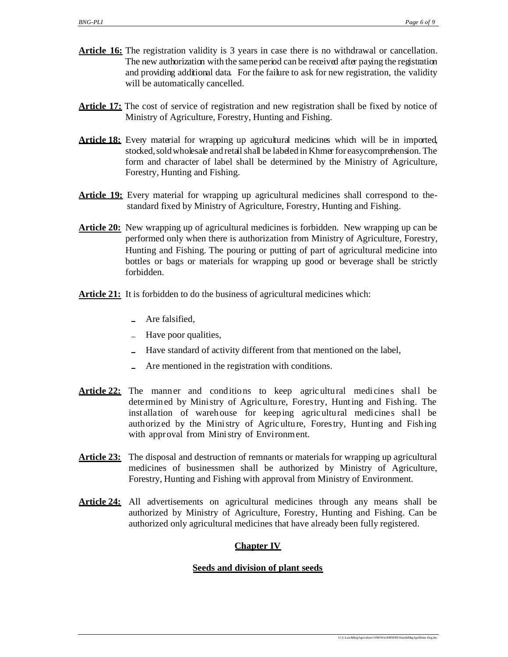- **Article 16:** The registration validity is 3 years in case there is no withdrawal or cancellation. The new authorization with the same period can be received after paying the registration and providing additional data. For the failure to ask for new registration, the validity will be automatically cancelled.
- **Article 17:** The cost of service of registration and new registration shall be fixed by notice of Ministry of Agriculture, Forestry, Hunting and Fishing.
- **Article 18:** Every material for wrapping up agricultural medicines which will be in imported, stocked, soldwholesale and retail shall be labeled in Khmer for easycomprehension. The form and character of label shall be determined by the Ministry of Agriculture, Forestry, Hunting and Fishing.
- **Article 19:** Every material for wrapping up agricultural medicines shall correspond to thestandard fixed by Ministry of Agriculture, Forestry, Hunting and Fishing.
- **Article 20:** New wrapping up of agricultural medicines is forbidden. New wrapping up can be performed only when there is authorization from Ministry of Agriculture, Forestry, Hunting and Fishing. The pouring or putting of part of agricultural medicine into bottles or bags or materials for wrapping up good or beverage shall be strictly forbidden.
- **Article 21:** It is forbidden to do the business of agricultural medicines which:
	- Are falsified,
	- Have poor qualities,
	- Have standard of activity different from that mentioned on the label,
	- Are mentioned in the registration with conditions.
- **Article 22:** The manner and conditions to keep agricultural medicines shall be dete rmin ed by Mini stry of Agric ultu re, Forestry, Hunting and Fishing. The inst allation of wareh ouse for keeping agricultural medicines shall be authorized by the Mini stry of Agric ultu re, Forestry, Hunting and Fishing with approval from Ministry of Environment.
- **Article 23:** The disposal and destruction of remnants or materials for wrapping up agricultural medicines of businessmen shall be authorized by Ministry of Agriculture, Forestry, Hunting and Fishing with approval from Ministry of Environment.
- **Article 24:** All advertisements on agricultural medicines through any means shall be authorized by Ministry of Agriculture, Forestry, Hunting and Fishing. Can be authorized only agricultural medicines that have already been fully registered.

# **Chapter IV**

## **Seeds and division of plant seeds**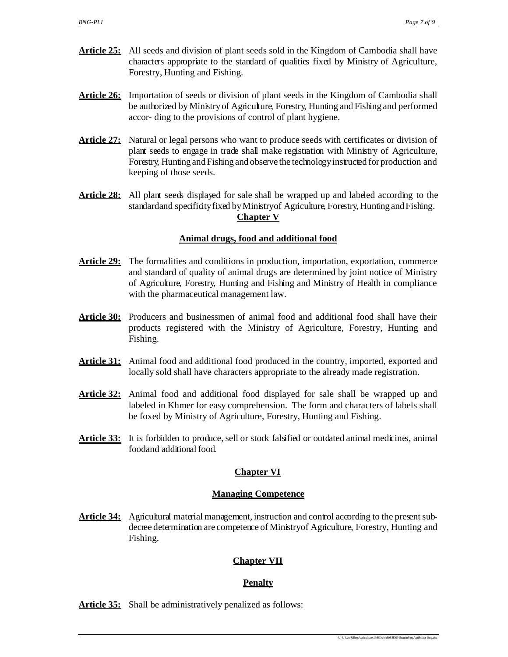- **Article 25:** All seeds and division of plant seeds sold in the Kingdom of Cambodia shall have characters appropriate to the standard of qualities fixed by Ministry of Agriculture, Forestry, Hunting and Fishing.
- Article 26: Importation of seeds or division of plant seeds in the Kingdom of Cambodia shall be authorized by Ministry of Agriculture, Forestry, Hunting and Fishing and performed accor- ding to the provisions of control of plant hygiene.
- **Article 27:** Natural or legal persons who want to produce seeds with certificates or division of plant seeds to engage in trade shall make registration with Ministry of Agriculture, Forestry, Hunting and Fishing and observethe technologyinstructed for production and keeping of those seeds.
- **Article 28:** All plant seeds displayed for sale shall be wrapped up and labeled according to the standardand specificityfixed byMinistryof Agriculture, Forestry, Hunting and Fishing. **Chapter V**

# **Animal drugs, food and additional food**

- **Article 29:** The formalities and conditions in production, importation, exportation, commerce and standard of quality of animal drugs are determined by joint notice of Ministry of Agriculture, Forestry, Hunting and Fishing and Ministry of Health in compliance with the pharmaceutical management law.
- **Article 30:** Producers and businessmen of animal food and additional food shall have their products registered with the Ministry of Agriculture, Forestry, Hunting and Fishing.
- **Article 31:** Animal food and additional food produced in the country, imported, exported and locally sold shall have characters appropriate to the already made registration.
- **Article 32:** Animal food and additional food displayed for sale shall be wrapped up and labeled in Khmer for easy comprehension. The form and characters of labels shall be foxed by Ministry of Agriculture, Forestry, Hunting and Fishing.
- **Article 33:** It is forbidden to produce, sell or stock falsified or outdated animal medicines, animal foodand additional food.

# **Chapter VI**

#### **Managing Competence**

**Article 34:** Agricultural material management, instruction and control according to the present subdecree determination are competence of Ministryof Agriculture, Forestry, Hunting and Fishing.

# **Chapter VII**

## **Penalty**

Article 35: Shall be administratively penalized as follows: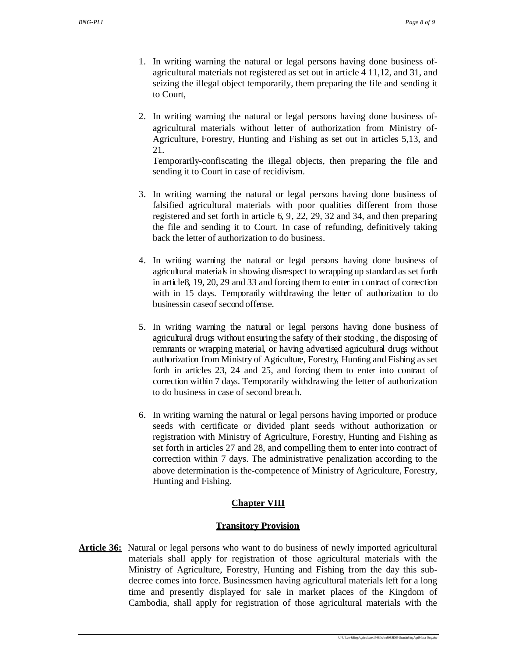- 1. In writing warning the natural or legal persons having done business ofagricultural materials not registered as set out in article 4 11,12, and 31, and seizing the illegal object temporarily, them preparing the file and sending it to Court,
- 2. In writing warning the natural or legal persons having done business ofagricultural materials without letter of authorization from Ministry of-Agriculture, Forestry, Hunting and Fishing as set out in articles 5,13, and 21.

Temporarily-confiscating the illegal objects, then preparing the file and sending it to Court in case of recidivism.

- 3. In writing warning the natural or legal persons having done business of falsified agricultural materials with poor qualities different from those registered and set forth in article 6, 9, 22, 29, 32 and 34, and then preparing the file and sending it to Court. In case of refunding, definitively taking back the letter of authorization to do business.
- 4. In writing warning the natural or legal persons having done business of agricultural materials in showing disrespect to wrapping up standard as set forth in article8, 19, 20, 29 and 33 and forcing them to enter in contract of correction with in 15 days. Temporarily withdrawing the letter of authorization to do businessin caseof second offense.
- 5. In writing warning the natural or legal persons having done business of agricultural drugs without ensuring the safety of their stocking , the disposing of remnants or wrapping material, or having advertised agricultural drugs without authorization from Ministry of Agriculture, Forestry, Hunting and Fishing as set forth in articles 23, 24 and 25, and forcing them to enter into contract of correction within 7 days. Temporarily withdrawing the letter of authorization to do business in case of second breach.
- 6. In writing warning the natural or legal persons having imported or produce seeds with certificate or divided plant seeds without authorization or registration with Ministry of Agriculture, Forestry, Hunting and Fishing as set forth in articles 27 and 28, and compelling them to enter into contract of correction within 7 days. The administrative penalization according to the above determination is the-competence of Ministry of Agriculture, Forestry, Hunting and Fishing.

# **Chapter VIII**

## **Transitory Provision**

**Article 36:** Natural or legal persons who want to do business of newly imported agricultural materials shall apply for registration of those agricultural materials with the Ministry of Agriculture, Forestry, Hunting and Fishing from the day this subdecree comes into force. Businessmen having agricultural materials left for a long time and presently displayed for sale in market places of the Kingdom of Cambodia, shall apply for registration of those agricultural materials with the

U:\U-Law&Reg\Agriculture\1998\Word\98SD69-StandnMngAgriMater -Eng.doc